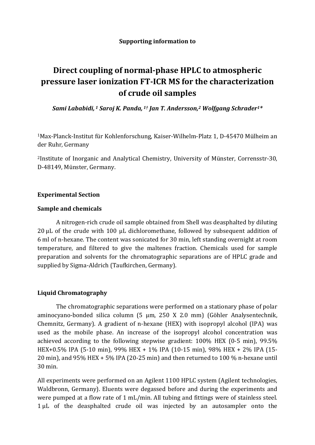# **Direct coupling of normal‐phase HPLC to atmospheric pressure laser ionization FT‐ICR MS for the characterization of crude oil samples**

*Sami Lababidi, <sup>1</sup> Saroj K. Panda, 1† Jan T. Andersson,2 Wolfgang Schrader1\**

 $1$ Max-Planck-Institut für Kohlenforschung, Kaiser-Wilhelm-Platz 1, D-45470 Mülheim an der Ruhr, Germany

<sup>2</sup>Institute of Inorganic and Analytical Chemistry, University of Münster, Corrensstr-30, D-48149, Münster, Germany.

## **Experimental Section**

## **Sample and chemicals**

A nitrogen-rich crude oil sample obtained from Shell was deasphalted by diluting  $20 \mu$ L of the crude with  $100 \mu$ L dichloromethane, followed by subsequent addition of 6 ml of n-hexane. The content was sonicated for 30 min, left standing overnight at room temperature, and filtered to give the maltenes fraction. Chemicals used for sample preparation and solvents for the chromatographic separations are of HPLC grade and supplied by Sigma-Aldrich (Taufkirchen, Germany).

## **Liquid Chromatography**

The chromatographic separations were performed on a stationary phase of polar aminocyano-bonded silica column (5 µm, 250 X 2.0 mm) (Göhler Analysentechnik, Chemnitz, Germany). A gradient of n-hexane (HEX) with isopropyl alcohol (IPA) was used as the mobile phase. An increase of the isopropyl alcohol concentration was achieved according to the following stepwise gradient:  $100\%$  HEX (0-5 min), 99.5% HEX+0.5% IPA (5-10 min), 99% HEX + 1% IPA (10-15 min), 98% HEX + 2% IPA (15-20 min), and  $95\%$  HEX +  $5\%$  IPA (20-25 min) and then returned to 100  $\%$  n-hexane until 30 min. 

All experiments were performed on an Agilent 1100 HPLC system (Agilent technologies, Waldbronn, Germany). Eluents were degassed before and during the experiments and were pumped at a flow rate of 1 mL/min. All tubing and fittings were of stainless steel. 1 µL of the deasphalted crude oil was injected by an autosampler onto the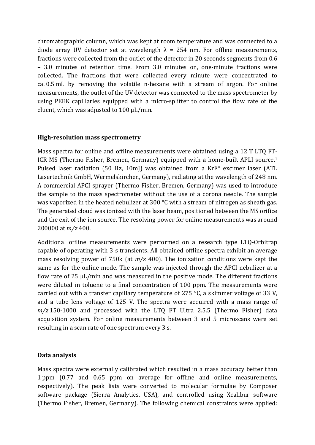chromatographic column, which was kept at room temperature and was connected to a diode array UV detector set at wavelength  $\lambda = 254$  nm. For offline measurements, fractions were collected from the outlet of the detector in 20 seconds segments from 0.6 – 3.0 minutes of retention time. From 3.0 minutes on, one‐minute fractions were collected. The fractions that were collected every minute were concentrated to  $ca. 0.5 mL$  by removing the volatile n-hexane with a stream of argon. For online measurements, the outlet of the UV detector was connected to the mass spectrometer by using PEEK capillaries equipped with a micro-splitter to control the flow rate of the eluent, which was adjusted to  $100 \mu L/min$ .

## **High‐resolution mass spectrometry**

Mass spectra for online and offline measurements were obtained using a 12 T LTQ FT-ICR MS (Thermo Fisher, Bremen, Germany) equipped with a home-built APLI source.<sup>1</sup> Pulsed laser radiation (50 Hz, 10mJ) was obtained from a KrF\* excimer laser (ATL Lasertechnik GmbH, Wermelskirchen, Germany), radiating at the wavelength of 248 nm. A commercial APCI sprayer (Thermo Fisher, Bremen, Germany) was used to introduce the sample to the mass spectrometer without the use of a corona needle. The sample was vaporized in the heated nebulizer at 300  $\degree$ C with a stream of nitrogen as sheath gas. The generated cloud was ionized with the laser beam, positioned between the MS orifice and the exit of the ion source. The resolving power for online measurements was around 200000 at *m/z* 400. 

Additional offline measurements were performed on a research type LTQ-Orbitrap capable of operating with 3 s transients. All obtained offline spectra exhibit an average mass resolving power of  $750k$  (at  $m/z$  400). The ionization conditions were kept the same as for the online mode. The sample was injected through the APCI nebulizer at a flow rate of  $25 \mu L/min$  and was measured in the positive mode. The different fractions were diluted in toluene to a final concentration of 100 ppm. The measurements were carried out with a transfer capillary temperature of 275  $\degree$ C, a skimmer voltage of 33 V, and a tube lens voltage of 125 V. The spectra were acquired with a mass range of  $m/z$  150-1000 and processed with the LTO FT Ultra 2.5.5 (Thermo Fisher) data acquisition system. For online measurements between 3 and 5 microscans were set resulting in a scan rate of one spectrum every 3 s.

## **Data analysis**

Mass spectra were externally calibrated which resulted in a mass accuracy better than 1 ppm (0.77 and 0.65 ppm on average for offline and online measurements, respectively). The peak lists were converted to molecular formulae by Composer software package (Sierra Analytics, USA), and controlled using Xcalibur software (Thermo Fisher, Bremen, Germany). The following chemical constraints were applied: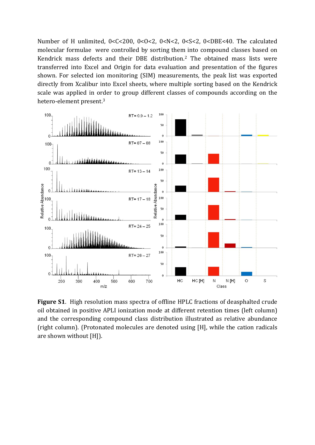Number of H unlimited,  $0 < C < 200$ ,  $0 < O < 2$ ,  $0 < N < 2$ ,  $0 < S < 2$ ,  $0 < DBE < 40$ . The calculated molecular formulae were controlled by sorting them into compound classes based on Kendrick mass defects and their DBE distribution.<sup>2</sup> The obtained mass lists were transferred into Excel and Origin for data evaluation and presentation of the figures shown. For selected ion monitoring (SIM) measurements, the peak list was exported directly from Xcalibur into Excel sheets, where multiple sorting based on the Kendrick scale was applied in order to group different classes of compounds according on the hetero-element present.<sup>3</sup>



**Figure S1.** High resolution mass spectra of offline HPLC fractions of deasphalted crude oil obtained in positive APLI ionization mode at different retention times (left column) and the corresponding compound class distribution illustrated as relative abundance (right column). (Protonated molecules are denoted using [H], while the cation radicals are shown without  $[H]$ ).